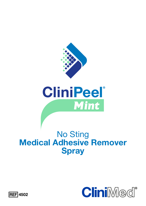

# **CliniPeel**® Mint

### No Sting **Medical Adhesive Remover Spray**



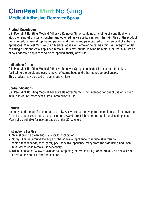## **CliniPeel Mint** No Sting

**Medical Adhesive Remover Spray**

#### **Product Description**

CliniPeel Mint No Sting Medical Adhesive Remover Spray contains a no sting silicone fluid which aids the removal of stoma pouches and other adhesive appliances from the skin. Use of the product helps to reduce skin stripping and peri-wound trauma and pain caused by the removal of adhesive appliances. CliniPeel Mint No Sting Medical Adhesive Remover helps maintain skin integrity whilst assisting quick and easy appliance removal. It is fast-drying, leaving no residue on the skin, which allows adhesive appliances to be re-applied shortly after use.

#### **Indications for use**

CliniPeel Mint No Sting Medical Adhesive Remover Spray is indicated for use on intact skin, facilitating the quick and easy removal of stoma bags and other adhesive appliances. This product may be used on adults and children.

#### **Contraindications**

CliniPeel Mint No Sting Medical Adhesive Remover Spray is not intended for direct use on broken skin. If in doubt, patch test a small area prior to use.

#### **Caution**

Use only as directed. For external use only. Allow product to evaporate completely before covering. Do not use near eyes, ears, nose, or mouth. Avoid direct inhalation or use in enclosed spaces. May not be suitable for use on babies under 30 days old

#### **Instructions For Use**

- **1.** Skin should be clean and dry prior to application.
- **2.** Spray CliniPeel around the edge of the adhesive appliance to reduce skin trauma.
- **3.** Wait a few seconds, then gently peel adhesive appliance away from the skin using additional CliniPeel to ease removal, if necessary.
- **4.** Dries in seconds. Allow to evaporate completely before covering. Once dried CliniPeel will not affect adhesion of further appliances.